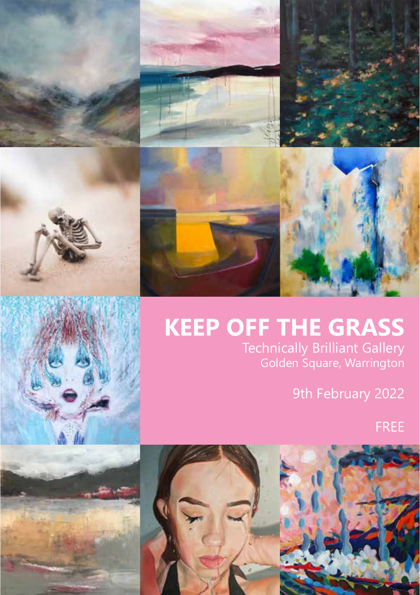









# **KEEP OFF THE GRASS** Technically Brilliant Gallery

Golden Square, Warrington

9th February 2022

FREE



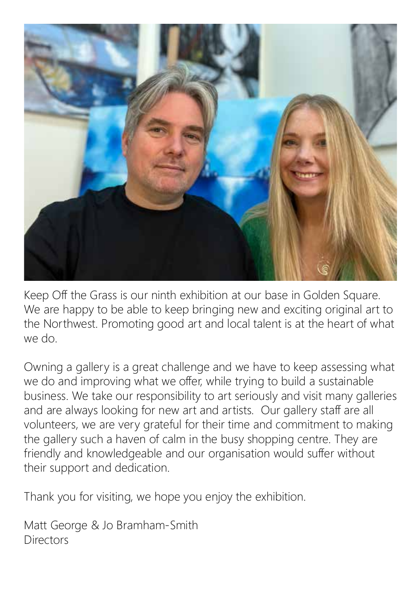

Keep Off the Grass is our ninth exhibition at our base in Golden Square. We are happy to be able to keep bringing new and exciting original art to the Northwest. Promoting good art and local talent is at the heart of what we do.

Owning a gallery is a great challenge and we have to keep assessing what we do and improving what we offer, while trying to build a sustainable business. We take our responsibility to art seriously and visit many galleries and are always looking for new art and artists. Our gallery staff are all volunteers, we are very grateful for their time and commitment to making the gallery such a haven of calm in the busy shopping centre. They are friendly and knowledgeable and our organisation would suffer without their support and dedication.

Thank you for visiting, we hope you enjoy the exhibition.

Matt George & Jo Bramham-Smith Directors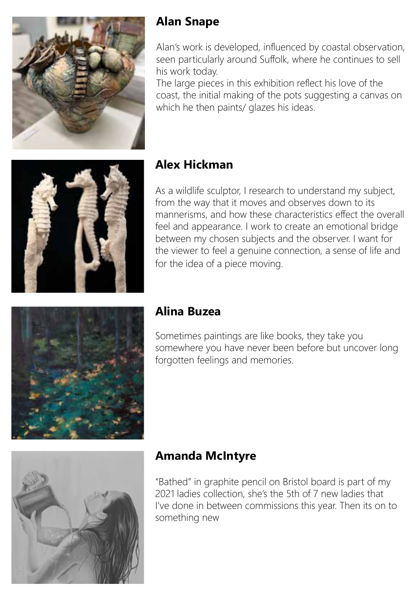

#### **Alan Snape**

Alan's work is developed, influenced by coastal observation, seen particularly around Suffolk, where he continues to sell his work today.

The large pieces in this exhibition reflect his love of the coast, the initial making of the pots suggesting a canvas on which he then paints/ glazes his ideas.



#### **Alex Hickman**

As a wildlife sculptor, I research to understand my subject, from the way that it moves and observes down to its mannerisms, and how these characteristics effect the overall feel and appearance. I work to create an emotional bridge between my chosen subjects and the observer. I want for the viewer to feel a genuine connection, a sense of life and for the idea of a piece moving.



#### **Alina Buzea**

Sometimes paintings are like books, they take you somewhere you have never been before but uncover long forgotten feelings and memories.



#### **Amanda McIntyre**

"Bathed" in graphite pencil on Bristol board is part of my 2021 ladies collection, she's the 5th of 7 new ladies that I've done in between commissions this year. Then its on to something new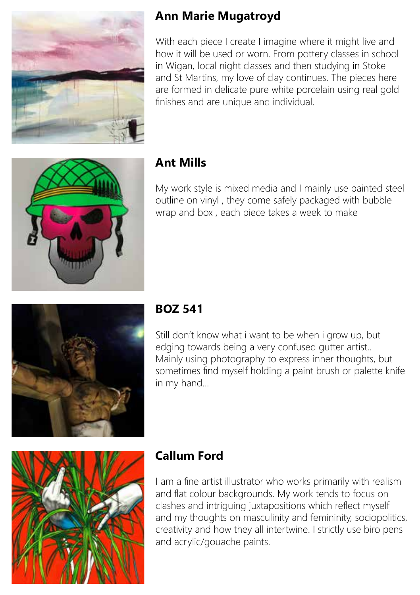

#### **Ann Marie Mugatroyd**

With each piece I create I imagine where it might live and how it will be used or worn. From pottery classes in school in Wigan, local night classes and then studying in Stoke and St Martins, my love of clay continues. The pieces here are formed in delicate pure white porcelain using real gold finishes and are unique and individual.



#### **Ant Mills**

My work style is mixed media and I mainly use painted steel outline on vinyl , they come safely packaged with bubble wrap and box , each piece takes a week to make



#### **BOZ 541**

Still don't know what i want to be when i grow up, but edging towards being a very confused gutter artist.. Mainly using photography to express inner thoughts, but sometimes find myself holding a paint brush or palette knife in my hand...



# **Callum Ford**

I am a fine artist illustrator who works primarily with realism and flat colour backgrounds. My work tends to focus on clashes and intriguing juxtapositions which reflect myself and my thoughts on masculinity and femininity, sociopolitics, creativity and how they all intertwine. I strictly use biro pens and acrylic/gouache paints.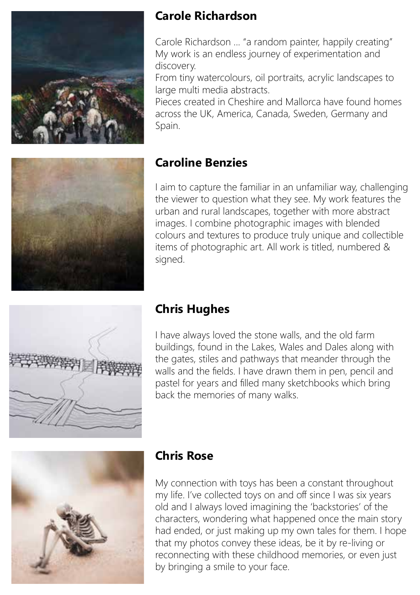



Carole Richardson ... "a random painter, happily creating" My work is an endless journey of experimentation and discovery.

From tiny watercolours, oil portraits, acrylic landscapes to large multi media abstracts.

Pieces created in Cheshire and Mallorca have found homes across the UK, America, Canada, Sweden, Germany and Spain.



#### **Caroline Benzies**

I aim to capture the familiar in an unfamiliar way, challenging the viewer to question what they see. My work features the urban and rural landscapes, together with more abstract images. I combine photographic images with blended colours and textures to produce truly unique and collectible items of photographic art. All work is titled, numbered & signed.



#### **Chris Hughes**

I have always loved the stone walls, and the old farm buildings, found in the Lakes, Wales and Dales along with the gates, stiles and pathways that meander through the walls and the fields. I have drawn them in pen, pencil and pastel for years and filled many sketchbooks which bring back the memories of many walks.



#### **Chris Rose**

My connection with toys has been a constant throughout my life. I've collected toys on and off since I was six years old and I always loved imagining the 'backstories' of the characters, wondering what happened once the main story had ended, or just making up my own tales for them. I hope that my photos convey these ideas, be it by re-living or reconnecting with these childhood memories, or even just by bringing a smile to your face.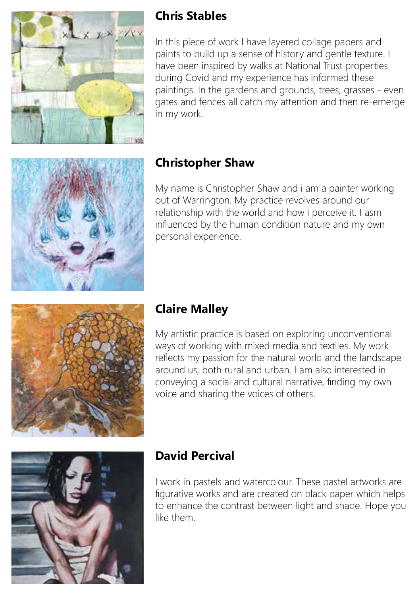

### **Chris Stables**

In this piece of work I have layered collage papers and paints to build up a sense of history and gentle texture. I have been inspired by walks at National Trust properties during Covid and my experience has informed these paintings. In the gardens and grounds, trees, grasses - even gates and fences all catch my attention and then re-emerge in my work.



# **Christopher Shaw**

My name is Christopher Shaw and i am a painter working out of Warrington. My practice revolves around our relationship with the world and how i perceive it. I asm influenced by the human condition nature and my own personal experience.



#### **Claire Malley**

My artistic practice is based on exploring unconventional ways of working with mixed media and textiles. My work reflects my passion for the natural world and the landscape around us, both rural and urban. I am also interested in conveying a social and cultural narrative, finding my own voice and sharing the voices of others.



#### **David Percival**

I work in pastels and watercolour. These pastel artworks are figurative works and are created on black paper which helps to enhance the contrast between light and shade. Hope you like them.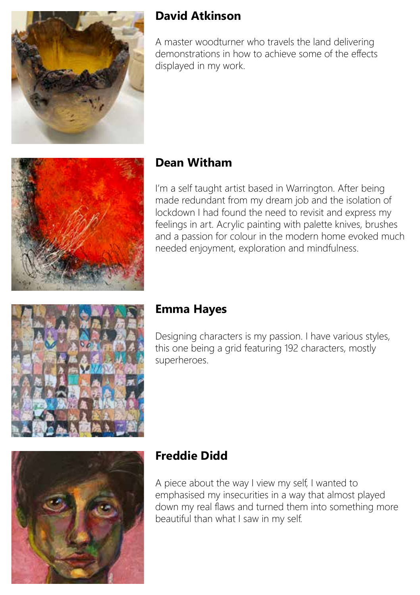

#### **David Atkinson**

A master woodturner who travels the land delivering demonstrations in how to achieve some of the effects displayed in my work.



#### **Dean Witham**

I'm a self taught artist based in Warrington. After being made redundant from my dream job and the isolation of lockdown I had found the need to revisit and express my feelings in art. Acrylic painting with palette knives, brushes and a passion for colour in the modern home evoked much needed enjoyment, exploration and mindfulness.



#### **Emma Hayes**

Designing characters is my passion. I have various styles, this one being a grid featuring 192 characters, mostly superheroes.



# **Freddie Didd**

A piece about the way I view my self, I wanted to emphasised my insecurities in a way that almost played down my real flaws and turned them into something more beautiful than what I saw in my self.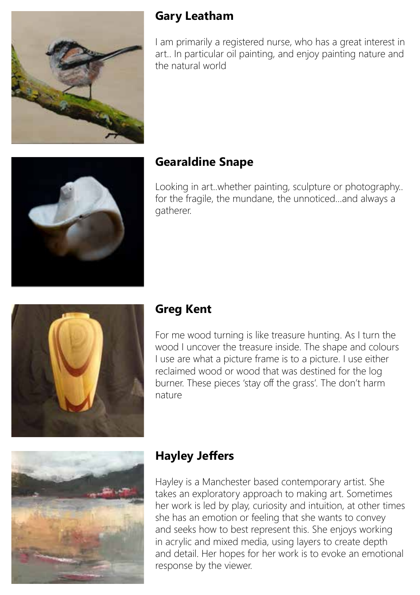

#### **Gary Leatham**

I am primarily a registered nurse, who has a great interest in art.. In particular oil painting, and enjoy painting nature and the natural world



# **Gearaldine Snape**

Looking in art..whether painting, sculpture or photography.. for the fragile, the mundane, the unnoticed...and always a gatherer.



#### **Greg Kent**

For me wood turning is like treasure hunting. As I turn the wood I uncover the treasure inside. The shape and colours I use are what a picture frame is to a picture. I use either reclaimed wood or wood that was destined for the log burner. These pieces 'stay off the grass'. The don't harm nature



# **Hayley Jeffers**

Hayley is a Manchester based contemporary artist. She takes an exploratory approach to making art. Sometimes her work is led by play, curiosity and intuition, at other times she has an emotion or feeling that she wants to convey and seeks how to best represent this. She enjoys working in acrylic and mixed media, using layers to create depth and detail. Her hopes for her work is to evoke an emotional response by the viewer.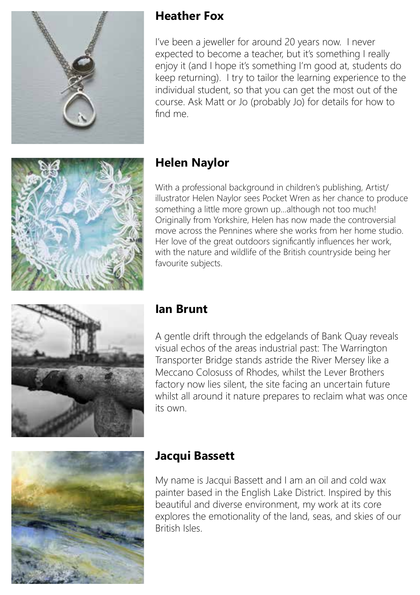

#### **Heather Fox**

I've been a jeweller for around 20 years now. I never expected to become a teacher, but it's something I really enjoy it (and I hope it's something I'm good at, students do keep returning). I try to tailor the learning experience to the individual student, so that you can get the most out of the course. Ask Matt or Jo (probably Jo) for details for how to find me.



# **Helen Naylor**

With a professional background in children's publishing, Artist/ illustrator Helen Naylor sees Pocket Wren as her chance to produce something a little more grown up...although not too much! Originally from Yorkshire, Helen has now made the controversial move across the Pennines where she works from her home studio. Her love of the great outdoors significantly influences her work, with the nature and wildlife of the British countryside being her favourite subjects.



#### **Ian Brunt**

A gentle drift through the edgelands of Bank Quay reveals visual echos of the areas industrial past: The Warrington Transporter Bridge stands astride the River Mersey like a Meccano Colosuss of Rhodes, whilst the Lever Brothers factory now lies silent, the site facing an uncertain future whilst all around it nature prepares to reclaim what was once its own.



#### **Jacqui Bassett**

My name is Jacqui Bassett and I am an oil and cold wax painter based in the English Lake District. Inspired by this beautiful and diverse environment, my work at its core explores the emotionality of the land, seas, and skies of our British Isles.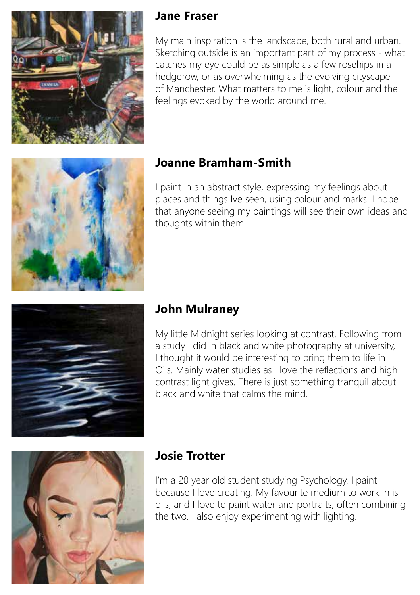

#### **Jane Fraser**

My main inspiration is the landscape, both rural and urban. Sketching outside is an important part of my process - what catches my eye could be as simple as a few rosehips in a hedgerow, or as overwhelming as the evolving cityscape of Manchester. What matters to me is light, colour and the feelings evoked by the world around me.



### **Joanne Bramham-Smith**

I paint in an abstract style, expressing my feelings about places and things Ive seen, using colour and marks. I hope that anyone seeing my paintings will see their own ideas and thoughts within them.



# **John Mulraney**

My little Midnight series looking at contrast. Following from a study I did in black and white photography at university, I thought it would be interesting to bring them to life in Oils. Mainly water studies as I love the reflections and high contrast light gives. There is just something tranquil about black and white that calms the mind.



#### **Josie Trotter**

I'm a 20 year old student studying Psychology. I paint because I love creating. My favourite medium to work in is oils, and I love to paint water and portraits, often combining the two. I also enjoy experimenting with lighting.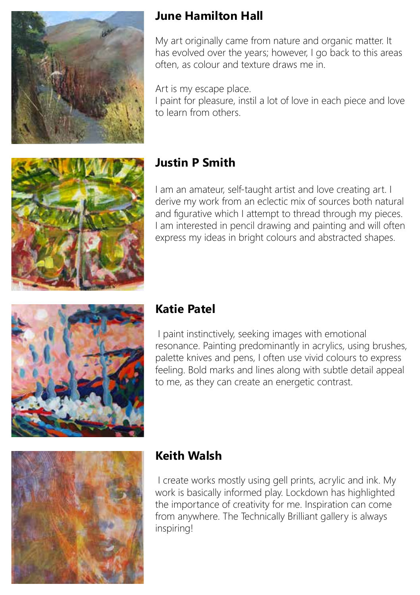

### **June Hamilton Hall**

My art originally came from nature and organic matter. It has evolved over the years; however, I go back to this areas often, as colour and texture draws me in.

Art is my escape place.

I paint for pleasure, instil a lot of love in each piece and love to learn from others.



# **Justin P Smith**

I am an amateur, self-taught artist and love creating art. I derive my work from an eclectic mix of sources both natural and figurative which I attempt to thread through my pieces. I am interested in pencil drawing and painting and will often express my ideas in bright colours and abstracted shapes.



#### **Katie Patel**

 I paint instinctively, seeking images with emotional resonance. Painting predominantly in acrylics, using brushes, palette knives and pens, I often use vivid colours to express feeling. Bold marks and lines along with subtle detail appeal to me, as they can create an energetic contrast.



# **Keith Walsh**

 I create works mostly using gell prints, acrylic and ink. My work is basically informed play. Lockdown has highlighted the importance of creativity for me. Inspiration can come from anywhere. The Technically Brilliant gallery is always inspiring!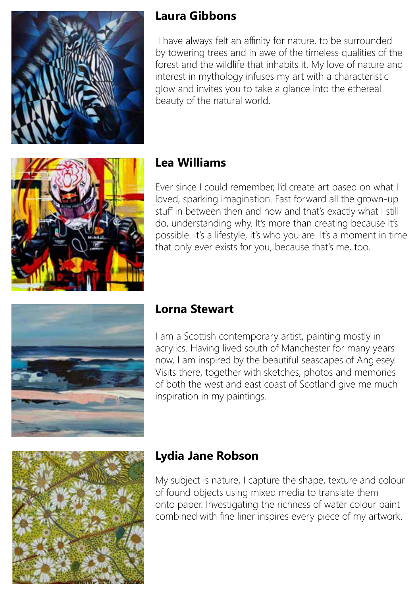

#### **Laura Gibbons**

 I have always felt an affinity for nature, to be surrounded by towering trees and in awe of the timeless qualities of the forest and the wildlife that inhabits it. My love of nature and interest in mythology infuses my art with a characteristic glow and invites you to take a glance into the ethereal beauty of the natural world.



### **Lea Williams**

Ever since I could remember, I'd create art based on what I loved, sparking imagination. Fast forward all the grown-up stuff in between then and now and that's exactly what I still do, understanding why. It's more than creating because it's possible. It's a lifestyle, it's who you are. It's a moment in time that only ever exists for you, because that's me, too.



#### **Lorna Stewart**

I am a Scottish contemporary artist, painting mostly in acrylics. Having lived south of Manchester for many years now, I am inspired by the beautiful seascapes of Anglesey. Visits there, together with sketches, photos and memories of both the west and east coast of Scotland give me much inspiration in my paintings.



#### **Lydia Jane Robson**

My subject is nature, I capture the shape, texture and colour of found objects using mixed media to translate them onto paper. Investigating the richness of water colour paint combined with fine liner inspires every piece of my artwork.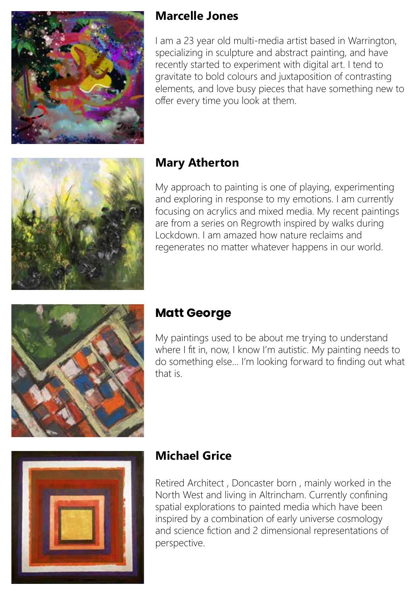

#### **Marcelle Jones**

I am a 23 year old multi-media artist based in Warrington, specializing in sculpture and abstract painting, and have recently started to experiment with digital art. I tend to gravitate to bold colours and juxtaposition of contrasting elements, and love busy pieces that have something new to offer every time you look at them.



#### **Mary Atherton**

My approach to painting is one of playing, experimenting and exploring in response to my emotions. I am currently focusing on acrylics and mixed media. My recent paintings are from a series on Regrowth inspired by walks during Lockdown. I am amazed how nature reclaims and regenerates no matter whatever happens in our world.



# **Matt George**

My paintings used to be about me trying to understand where I fit in, now, I know I'm autistic. My painting needs to do something else... I'm looking forward to finding out what that is.



#### **Michael Grice**

Retired Architect , Doncaster born , mainly worked in the North West and living in Altrincham. Currently confining spatial explorations to painted media which have been inspired by a combination of early universe cosmology and science fiction and 2 dimensional representations of perspective.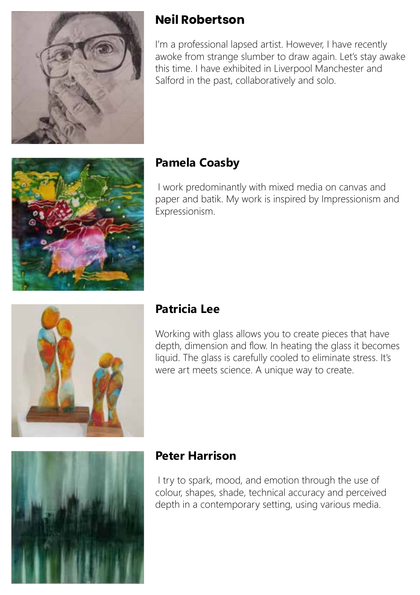

### **Neil Robertson**

I'm a professional lapsed artist. However, I have recently awoke from strange slumber to draw again. Let's stay awake this time. I have exhibited in Liverpool Manchester and Salford in the past, collaboratively and solo.



### **Pamela Coasby**

 I work predominantly with mixed media on canvas and paper and batik. My work is inspired by Impressionism and Expressionism.



#### **Patricia Lee**

Working with glass allows you to create pieces that have depth, dimension and flow. In heating the glass it becomes liquid. The glass is carefully cooled to eliminate stress. It's were art meets science. A unique way to create.



#### **Peter Harrison**

 I try to spark, mood, and emotion through the use of colour, shapes, shade, technical accuracy and perceived depth in a contemporary setting, using various media.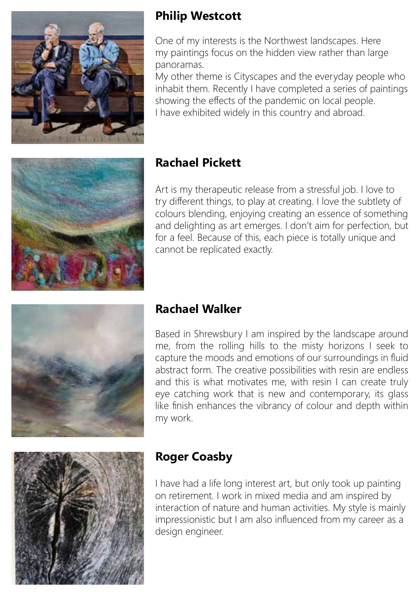

#### **Philip Westcott**

One of my interests is the Northwest landscapes. Here my paintings focus on the hidden view rather than large panoramas.

My other theme is Cityscapes and the everyday people who inhabit them. Recently I have completed a series of paintings showing the effects of the pandemic on local people. I have exhibited widely in this country and abroad.



### **Rachael Pickett**

Art is my therapeutic release from a stressful job. I love to try different things, to play at creating. I love the subtlety of colours blending, enjoying creating an essence of something and delighting as art emerges. I don't aim for perfection, but for a feel. Because of this, each piece is totally unique and cannot be replicated exactly.



#### **Rachael Walker**

Based in Shrewsbury I am inspired by the landscape around me, from the rolling hills to the misty horizons I seek to capture the moods and emotions of our surroundings in fluid abstract form. The creative possibilities with resin are endless and this is what motivates me, with resin I can create truly eye catching work that is new and contemporary, its glass like finish enhances the vibrancy of colour and depth within my work.



#### **Roger Coasby**

I have had a life long interest art, but only took up painting on retirement. I work in mixed media and am inspired by interaction of nature and human activities. My style is mainly impressionistic but I am also influenced from my career as a design engineer.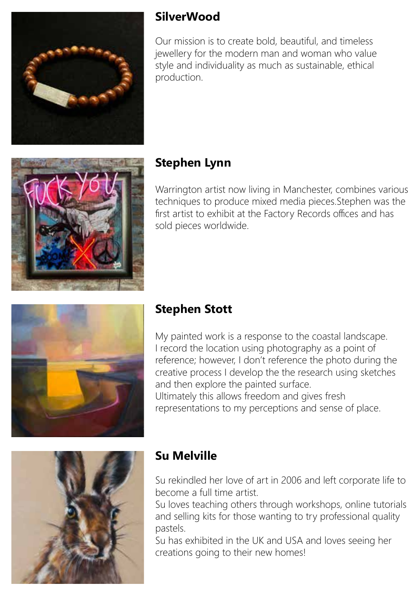

#### **SilverWood**

Our mission is to create bold, beautiful, and timeless jewellery for the modern man and woman who value style and individuality as much as sustainable, ethical production.



# **Stephen Lynn**

Warrington artist now living in Manchester, combines various techniques to produce mixed media pieces.Stephen was the first artist to exhibit at the Factory Records offices and has sold pieces worldwide.



# **Stephen Stott**

My painted work is a response to the coastal landscape. I record the location using photography as a point of reference; however, I don't reference the photo during the creative process I develop the the research using sketches and then explore the painted surface. Ultimately this allows freedom and gives fresh representations to my perceptions and sense of place.



# **Su Melville**

Su rekindled her love of art in 2006 and left corporate life to become a full time artist.

Su loves teaching others through workshops, online tutorials and selling kits for those wanting to try professional quality pastels.

Su has exhibited in the UK and USA and loves seeing her creations going to their new homes!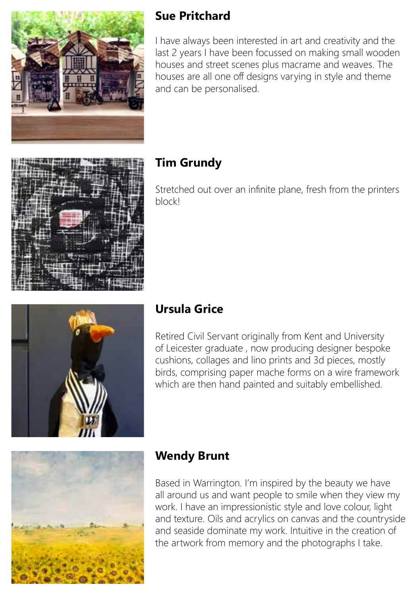

### **Sue Pritchard**

I have always been interested in art and creativity and the last 2 years I have been focussed on making small wooden houses and street scenes plus macrame and weaves. The houses are all one off designs varying in style and theme and can be personalised.



# **Tim Grundy**

Stretched out over an infinite plane, fresh from the printers block!



Retired Civil Servant originally from Kent and University of Leicester graduate , now producing designer bespoke cushions, collages and lino prints and 3d pieces, mostly birds, comprising paper mache forms on a wire framework which are then hand painted and suitably embellished.



# **Wendy Brunt**

Based in Warrington. I'm inspired by the beauty we have all around us and want people to smile when they view my work. I have an impressionistic style and love colour, light and texture. Oils and acrylics on canvas and the countryside and seaside dominate my work. Intuitive in the creation of the artwork from memory and the photographs I take.